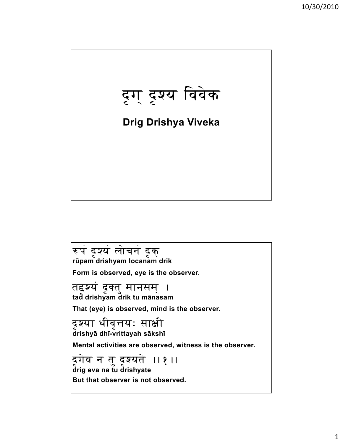

-p:ö dáSy:ö l::ðc:n:ö dákÏ **<sup>r</sup>ūpam drishyam locanam drik Form is observed, eye is the observer.** तद्दश्य दृक्तु मानसम् । **tad drishyam drik tu mānasam That (eye) is observed, mind is the observer.** दश्या धीवत्तयः साक्षी **drishyā dhī-vrittayah sākshī Mental activities are observed, witness is the observer.** द्रगेव न तु दृश्यते ।।१ ।। **drig eva na tu drishyate But that observer is not observed.**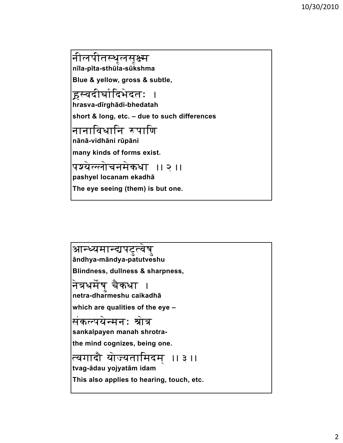न।लपातस्थूलसूक्ष्म Ü **nīla-pīta-sthūla-sūkshma Blue & yellow, gross & subtle,** हस्वदीर्घादिभेदतः । **hrasva-dīrghādi-bhedatah short & long, etc. – due to such differences** नानाविधानि रूपाणि **nānā-vidhāni rūpāni many kinds of forms exist.** पश्येल्लोचनमेकधा ।।२ ।। **pashyel locanam ekadhā The eye seeing (them) is but one.**

आन्ध्यमान्द्यपटुत्वेषु<br>āndhya-māndya-patutveshu **Blindness, dullness & sharpness,** नत्रघमषु चकघा ।<br>... ò **netra-dharmeshu caikadhā which are qualities of the eye –** संकल्पयेन्मनः श्रोत्र **sankalpayen manah shrotrathe mind cognizes being one the mind cognizes, being one.** त्वगादा याज्यता।मदम् ।। ३ ।।<br>´ **tvag-ādau yojyatām idam This also applies to hearing, touch, etc.**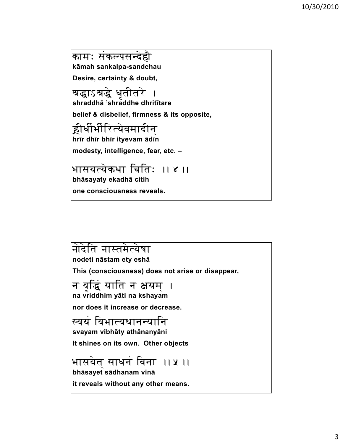कामः संकल्पसन्देहौ **kāmah sankalpa-sandehau Desire, certainty & doubt,**

श्रद्धाऽश्रद्धे धृतीतरे **shraddhā 'shraddhe dhritītare**

**belief & disbelief, firmness & its opposite,**

ËiD:iüB:iüerty:ðv:m:adin:Î **hrīr dhīr bhīr ityevam ādī<sup>n</sup>**

modesty, intelligence, fear, etc. –

भासयत्येकधा चितिः ।। ४ ।। **bhāsayaty ekadhā citih one consciousness reveals.**

नोदेति नास्तमेत्येषा **nodeti nāstam ety eshā This (consciousness) does not arise or disappear,** न वद्धिं याति न क्षयम । **na vriddhim yāti na kshayam nor does it increase or decrease.** स्वयं विभात्यथानन्यानि **svayam vibhāty athānanyāni It shines on its own. Other objects** भासयेत् साधनं विना ।। ५ ।। **bhāsayet sādhanam vinā it reveals without any other means.**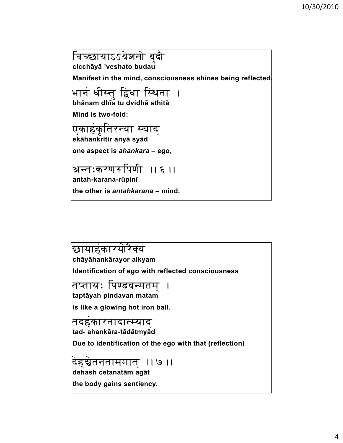<u>चिच्छायाऽऽवेशतो बु</u>दौ **cicchāyā 'veshato budau Manifest in the mind, consciousness shines being reflected.** भानं धीस्तु द्विधा स्थिता । **bhānam dhīs tu dvidhā sthitā Mind is two-fold:** Okahökáet:rny:a sy:adÎ **ekāhankritir anyā syā<sup>d</sup> one aspect is one aspect** *ahankara* **– ego,** अन्तःकरणरूपिणी ।।६ ।। **antah-karana-rūpinī the other is** *antahkarana* **– mind.**

छायाहकारयोरैक्य i<br>. Vy:ö **chāyāhankārayor aikyam Identification of ego with reflected consciousness** तप्तायः पिण्डवन्मतम । **taptāyah pindavan matam is like a glowing hot iron ball.** t:dhökart:adatmy:adÎ **tad- ahankāra-tādātmyā<sup>d</sup> Due to identification of the ego with that (reflection) Due to identification of the ego with that** देहञ्चेतनतामगात ।। ७ ।। **dehash cetanatām agāt the body gains sentiency.**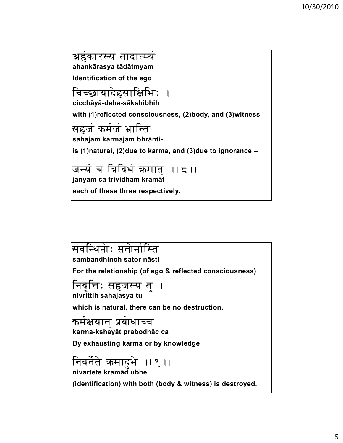अहंकारस्य तादात्म्यं ahankārasya tādātmyam Identification of the ego चिच्छायादेहसाक्षिभिः cicchāyā-deha-sākshibhih with (1)reflected consciousness, (2)body, and (3)witness सहजं कर्मजं भ्रान्ति sahajam karmajam bhrāntiis (1)natural, (2)due to karma, and (3)due to ignorance -janyam ca trividham kramāt each of these three respectively.

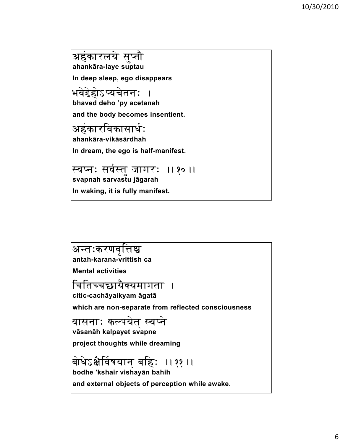अहंकारलये सुप्तौ **ahankāra-laye suptau In deep sleep, ego disappears** भवेद्देहोऽप्यचेतनः **bhaved deho 'py acetanah and the body becomes insentient.** Ahökarev:kas:aD:ü <sup>H</sup>**ahankāra-vikāsārdhah** In dream, the ego is half-manifest. स्वप्नः सवस्तु जागरः ॥१०॥ ü **svapnah sarvastu jāgarah**

**In waking, it is fully manifest.**

अन्तःकरणवत्तिश्च **antah-karana-vrittish ca Mental activities** ।चातच्चछ।यक्यमागता ।<br>प्राप्तच्चछ।यक्यमागता । **citic-cachāyaikyam āgatā which are non-separate from reflected consciousness** वासनाः कल्पयेत स्वप्ने **vāsanāh kalpayet svapne project thoughts while dreaming project thoughts while** b::ðD:ð|x:òev:ü \:y:an:Î b:ehH .. 11.. **bodhe 'kshair vishayān bahih and external objects of perception while awake.**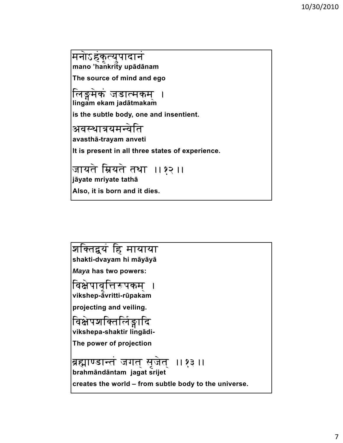मनोऽहकृत्युपादानं mano 'hankrity upādānam The source of mind and ego लिङ्गमेकं जडात्मकम् ।<br>lingam ekam jadātmakam is the subtle body, one and insentient. अवस्थात्रयमन्वेति avasthā-trayam anveti It is present in all three states of experience. जायते म्रियते तथा ।।१२ ।। jāyate mriyate tathā Also, it is born and it dies.

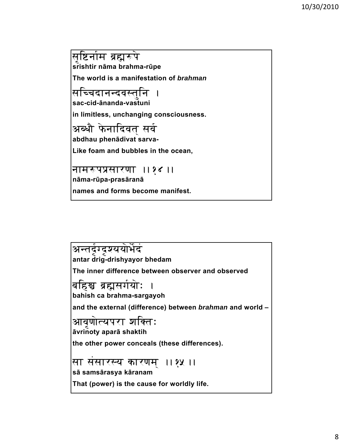सृष्टिर्नाम ब्रह्मरूपे srishtir nāma brahma-rūpe The world is a manifestation of brahman सच्चिदानन्दवस्त<mark>ु</mark>नि । sac-cid-ānanda-vastuni in limitless, unchanging consciousness. अब्धौ फेनादिवत सर्व abdhau phenādivat sarva-Like foam and bubbles in the ocean, नामरूपप्रसारणा ।।१४ ।। nāma-rūpa-prasāranā names and forms become manifest.

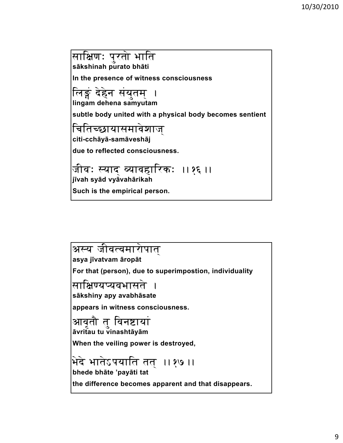साक्षिणः पुरतो भाति sākshinah purato bhāti In the presence of witness consciousness लिङ्गं देहेन संयुतम् । lingam dehena samyutam subtle body united with a physical body becomes sentient चितिच्छायासमावेशाज् citi-cchāyā-samāveshāj due to reflected consciousness. जीवः स्याद व्यावहारिकः ।।१६ ।। jīvah svād vvāvahārikah Such is the empirical person.

अस्य जीवत्वमारोपात asya jīvatvam āropāt For that (person), due to superimpostion, individuality साक्षिण्यप्यवभासते sākshiny apy avabhāsate appears in witness consciousness. आवतौ त विनष्टायां āvritau tu vinashtāyām When the veiling power is destroyed, भेदे भातेऽपयाति तत् ।।१७ ।। bhede bhāte 'payāti tat the difference becomes apparent and that disappears.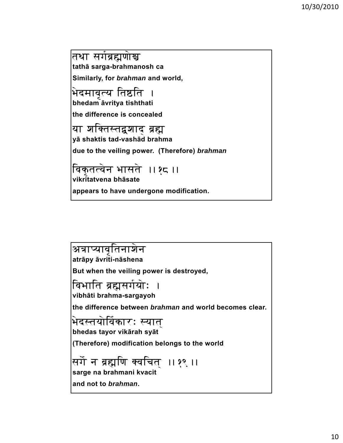तथा सर्गब्रह्मणोस्र tathā sarga-brahmanosh ca Similarly, for brahman and world,

भेदमावृत्य तिष्ठति । bhedam āvritya tishthati

the difference is concealed

या शक्तिस्तद्वशाद ब्रह्म yā shaktis tad-vashād brahma

due to the veiling power. (Therefore) brahman

विकृतत्वेन भासते ।।१८ ।।

vikri̇̃tatvena bhāsate

appears to have undergone modification.

अत्राप्यावतिनाशेन atrāpy āvriti-nāshena But when the veiling power is destroyed, विभाति ब्रह्मसर्गयोः vibhāti brahma-sargayoh the difference between *brahman* and world becomes clear. भेदस्तयोर्विकारः स्यात bhedas tayor vikārah syāt (Therefore) modification belongs to the world सर्गे न ब्रह्मणि क्वचित् ।।१९ ।। sarge na brahmani kvacit and not to brahman.